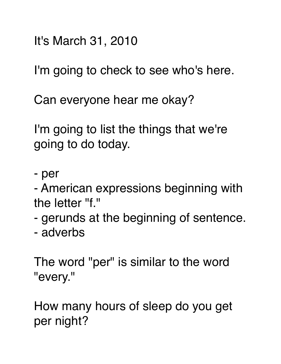It's March 31, 2010

I'm going to check to see who's here.

Can everyone hear me okay?

I'm going to list the things that we're going to do today.

- per

- American expressions beginning with the letter "f."

- gerunds at the beginning of sentence.
- adverbs

The word "per" is similar to the word "every."

How many hours of sleep do you get per night?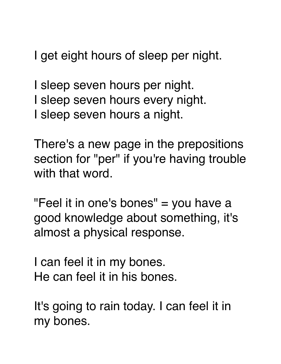I get eight hours of sleep per night.

I sleep seven hours per night. I sleep seven hours every night. I sleep seven hours a night.

There's a new page in the prepositions section for "per" if you're having trouble with that word.

"Feel it in one's bones" = you have a good knowledge about something, it's almost a physical response.

I can feel it in my bones. He can feel it in his bones.

It's going to rain today. I can feel it in my bones.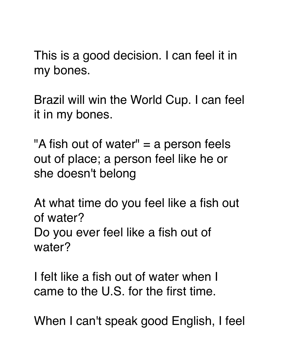This is a good decision. I can feel it in my bones.

Brazil will win the World Cup. I can feel it in my bones.

"A fish out of water" = a person feels out of place; a person feel like he or she doesn't belong

At what time do you feel like a fish out of water? Do you ever feel like a fish out of water?

I felt like a fish out of water when I came to the U.S. for the first time.

When I can't speak good English, I feel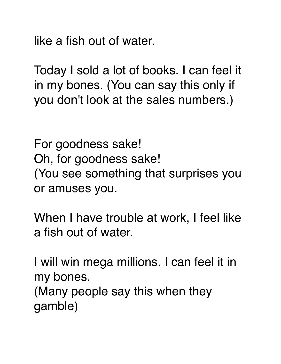like a fish out of water.

Today I sold a lot of books. I can feel it in my bones. (You can say this only if you don't look at the sales numbers.)

For goodness sake! Oh, for goodness sake! (You see something that surprises you or amuses you.

When I have trouble at work, I feel like a fish out of water.

I will win mega millions. I can feel it in my bones. (Many people say this when they gamble)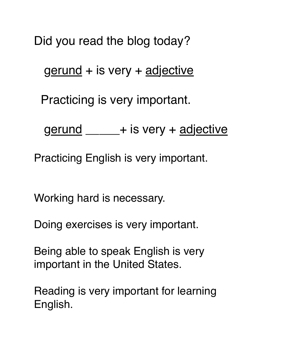Did you read the blog today?

gerund + is very + adjective

Practicing is very important.

gerund \_\_\_\_\_\_+ is very + adjective

Practicing English is very important.

Working hard is necessary.

Doing exercises is very important.

Being able to speak English is very important in the United States.

Reading is very important for learning English.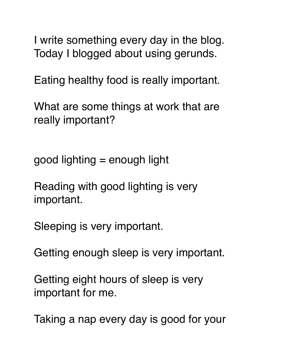I write something every day in the blog. Today I blogged about using gerunds.

Eating healthy food is really important.

What are some things at work that are really important?

good lighting = enough light

Reading with good lighting is very important.

Sleeping is very important.

Getting enough sleep is very important.

Getting eight hours of sleep is very important for me.

Taking a nap every day is good for your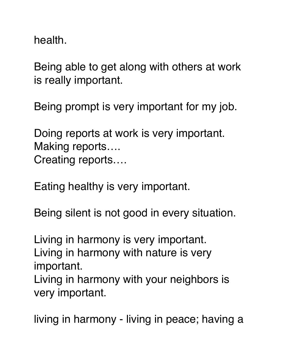health.

Being able to get along with others at work is really important.

Being prompt is very important for my job.

Doing reports at work is very important. Making reports…. Creating reports….

Eating healthy is very important.

Being silent is not good in every situation.

Living in harmony is very important. Living in harmony with nature is very important.

Living in harmony with your neighbors is very important.

living in harmony - living in peace; having a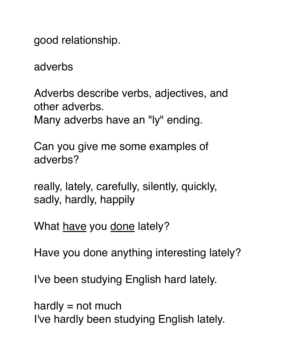good relationship.

adverbs

Adverbs describe verbs, adjectives, and other adverbs. Many adverbs have an "ly" ending.

Can you give me some examples of adverbs?

really, lately, carefully, silently, quickly, sadly, hardly, happily

What have you done lately?

Have you done anything interesting lately?

I've been studying English hard lately.

hardly  $=$  not much I've hardly been studying English lately.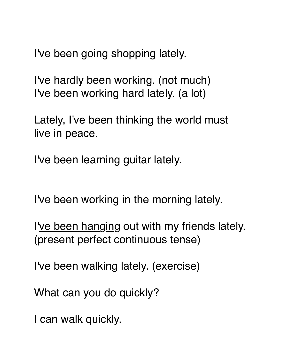I've been going shopping lately.

I've hardly been working. (not much) I've been working hard lately. (a lot)

Lately, I've been thinking the world must live in peace.

I've been learning guitar lately.

I've been working in the morning lately.

I've been hanging out with my friends lately. (present perfect continuous tense)

I've been walking lately. (exercise)

What can you do quickly?

I can walk quickly.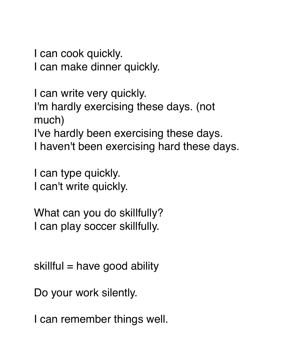I can cook quickly.

I can make dinner quickly.

I can write very quickly. I'm hardly exercising these days. (not much) I've hardly been exercising these days. I haven't been exercising hard these days.

I can type quickly. I can't write quickly.

What can you do skillfully? I can play soccer skillfully.

 $skillful = have good ability$ 

Do your work silently.

I can remember things well.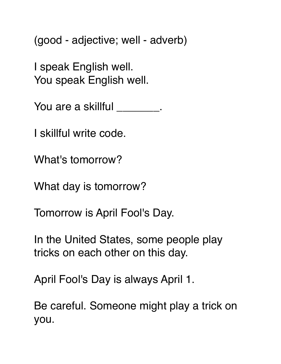(good - adjective; well - adverb)

I speak English well. You speak English well.

You are a skillful \_\_\_\_\_\_\_\_.

I skillful write code.

What's tomorrow?

What day is tomorrow?

Tomorrow is April Fool's Day.

In the United States, some people play tricks on each other on this day.

April Fool's Day is always April 1.

Be careful. Someone might play a trick on you.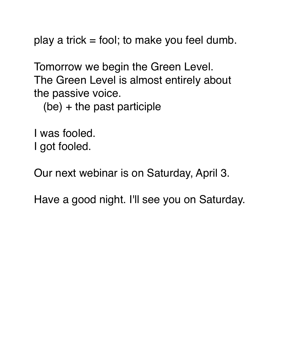play a trick  $=$  fool; to make you feel dumb.

Tomorrow we begin the Green Level. The Green Level is almost entirely about the passive voice.

(be) + the past participle

I was fooled. I got fooled.

Our next webinar is on Saturday, April 3.

Have a good night. I'll see you on Saturday.